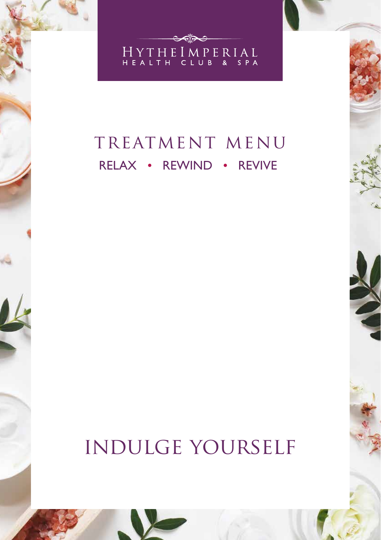HYTHEIMPERIAL<br>HEALTH CLUB & SPA

# treatment menu RELAX • REWIND • REVIVE

indulge yourself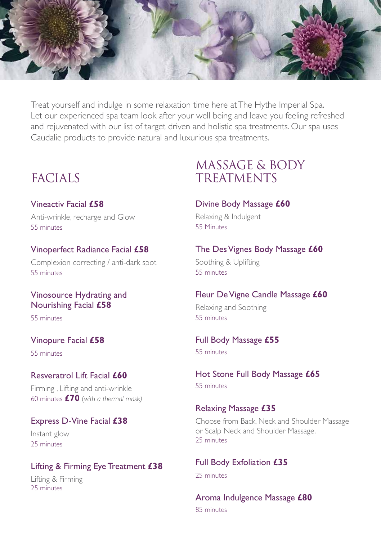

Treat yourself and indulge in some relaxation time here at The Hythe Imperial Spa. Let our experienced spa team look after your well being and leave you feeling refreshed and rejuvenated with our list of target driven and holistic spa treatments. Our spa uses Caudalie products to provide natural and luxurious spa treatments.

## **FACIALS**

Vineactiv Facial **£58** Anti-wrinkle, recharge and Glow 55 minutes

### Vinoperfect Radiance Facial **£58**

Complexion correcting / anti-dark spot 55 minutes

#### Vinosource Hydrating and Nourishing Facial **£58**

55 minutes

#### Vinopure Facial **£58**

55 minutes

#### Resveratrol Lift Facial **£60**

Firming , Lifting and anti-wrinkle 60 minutes **£70** (*with a thermal mask)*

#### Express D-Vine Facial **£38**

Instant glow 25 minutes

#### Lifting & Firming Eye Treatment **£38**

Lifting & Firming 25 minutes

## MASSAGE & BODY TREATMENTS

#### Divine Body Massage **£60**

Relaxing & Indulgent 55 Minutes

### The Des Vignes Body Massage **£60**

Soothing & Uplifting 55 minutes

### Fleur De Vigne Candle Massage **£60**

Relaxing and Soothing 55 minutes

## Full Body Massage **£55**

55 minutes

### Hot Stone Full Body Massage **£65** 55 minutes

### Relaxing Massage **£35**

Choose from Back, Neck and Shoulder Massage or Scalp Neck and Shoulder Massage. 25 minutes

#### Full Body Exfoliation **£35** 25 minutes

#### Aroma Indulgence Massage **£80** 85 minutes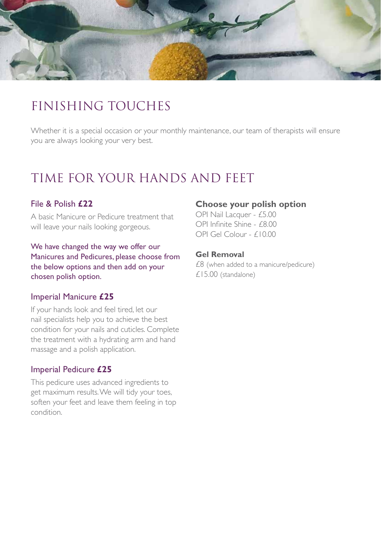

## FINISHING TOUCHES

Whether it is a special occasion or your monthly maintenance, our team of therapists will ensure you are always looking your very best.

## TIME FOR YOUR HANDS AND FEET

### File & Polish **£22**

A basic Manicure or Pedicure treatment that will leave your nails looking gorgeous.

We have changed the way we offer our Manicures and Pedicures, please choose from the below options and then add on your chosen polish option.

#### Imperial Manicure **£25**

If your hands look and feel tired, let our nail specialists help you to achieve the best condition for your nails and cuticles. Complete the treatment with a hydrating arm and hand massage and a polish application.

#### Imperial Pedicure **£25**

This pedicure uses advanced ingredients to get maximum results. We will tidy your toes, soften your feet and leave them feeling in top condition.

#### **Choose your polish option**

OPI Nail Lacquer - £5.00 OPI Infinite Shine - £8.00 OPI Gel Colour - £10.00

#### **Gel Removal**

£8 (when added to a manicure/pedicure) £15.00 (standalone)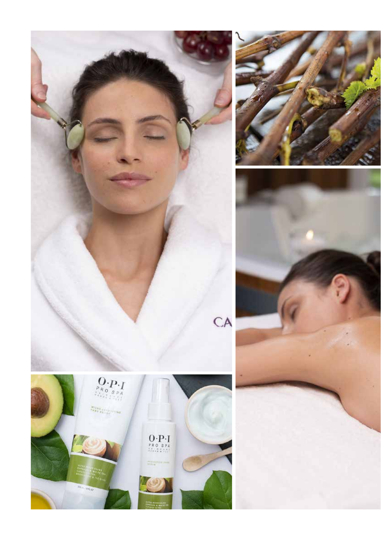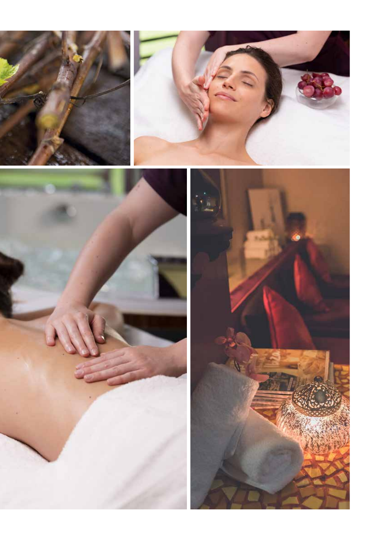





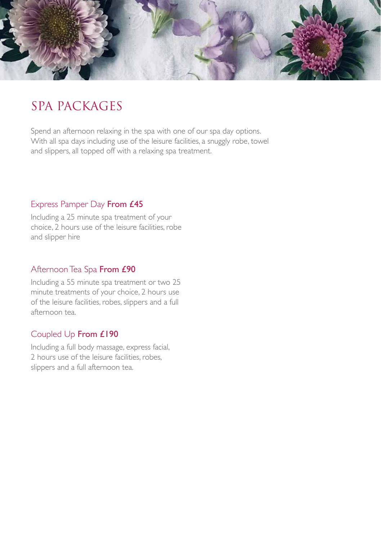

## SPA PACKAGES

Spend an afternoon relaxing in the spa with one of our spa day options. With all spa days including use of the leisure facilities, a snuggly robe, towel and slippers, all topped off with a relaxing spa treatment.

### Express Pamper Day From £45

Including a 25 minute spa treatment of your choice, 2 hours use of the leisure facilities, robe and slipper hire

### Afternoon Tea Spa From £90

Including a 55 minute spa treatment or two 25 minute treatments of your choice, 2 hours use of the leisure facilities, robes, slippers and a full afternoon tea.

### Coupled Up From £190

Including a full body massage, express facial, 2 hours use of the leisure facilities, robes, slippers and a full afternoon tea.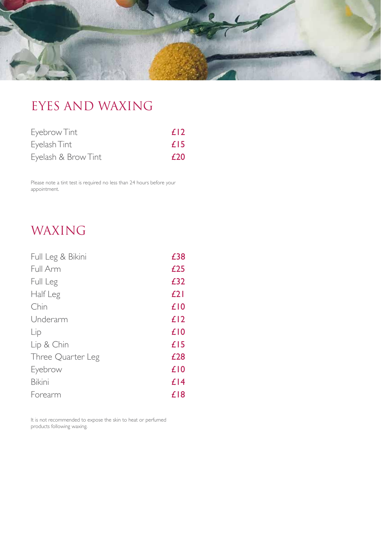

## EYES AND WAXING

| Eyebrow Tint        | £12 |
|---------------------|-----|
| Eyelash Tint        | £15 |
| Eyelash & Brow Tint | £20 |

Please note a tint test is required no less than 24 hours before your appointment.

## WAXING

| Full Leg & Bikini | £38 |
|-------------------|-----|
| Full Arm          | £25 |
| Full Leg          | £32 |
| Half Leg          | E21 |
| Chin              | £10 |
| Underarm          | £12 |
| Lip               | £10 |
| Lip & Chin        | £15 |
| Three Quarter Leg | £28 |
| Eyebrow           | £10 |
| Bikini            | £14 |
| Forearm           | £18 |

It is not recommended to expose the skin to heat or perfumed products following waxing.